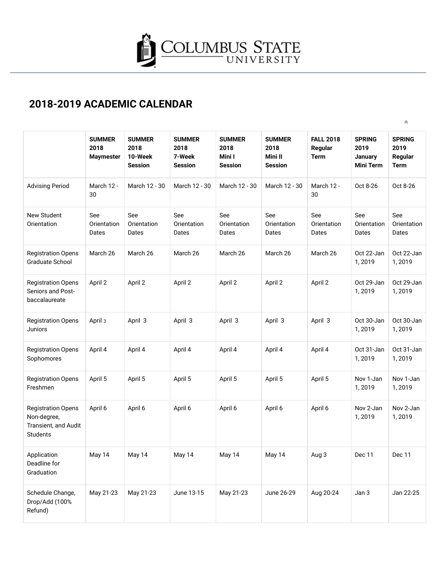

 $\hat{\wedge}$ 

## **2018-2019 ACADEMIC CALENDAR**

|                                                                                     | <b>SUMMER</b><br>2018<br><b>Maymester</b> | <b>SUMMER</b><br>2018<br>10-Week<br><b>Session</b> | <b>SUMMER</b><br>2018<br>7-Week<br><b>Session</b> | <b>SUMMER</b><br>2018<br>Mini I<br><b>Session</b> | <b>SUMMER</b><br>2018<br>Mini II<br><b>Session</b> | <b>FALL 2018</b><br>Regular<br><b>Term</b> | <b>SPRING</b><br>2019<br><b>January</b><br><b>Mini Term</b> | <b>SPRING</b><br>2019<br>Regular<br><b>Term</b> |
|-------------------------------------------------------------------------------------|-------------------------------------------|----------------------------------------------------|---------------------------------------------------|---------------------------------------------------|----------------------------------------------------|--------------------------------------------|-------------------------------------------------------------|-------------------------------------------------|
| <b>Advising Period</b>                                                              | March 12 -<br>30                          | March 12 - 30                                      | March 12 - 30                                     | March 12 - 30                                     | March 12 - 30                                      | March 12 -<br>30                           | Oct 8-26                                                    | Oct 8-26                                        |
| <b>New Student</b><br>Orientation                                                   | See<br>Orientation<br>Dates               | See<br>Orientation<br>Dates                        | See<br>Orientation<br>Dates                       | See<br>Orientation<br>Dates                       | See<br>Orientation<br>Dates                        | See<br>Orientation<br>Dates                | See<br>Orientation<br>Dates                                 | See<br>Orientation<br>Dates                     |
| <b>Registration Opens</b><br>Graduate School                                        | March 26                                  | March 26                                           | March 26                                          | March 26                                          | March 26                                           | March 26                                   | Oct 22-Jan<br>1,2019                                        | Oct 22-Jan<br>1,2019                            |
| <b>Registration Opens</b><br>Seniors and Post-<br>baccalaureate                     | April 2                                   | April 2                                            | April 2                                           | April 2                                           | April 2                                            | April 2                                    | Oct 29-Jan<br>1,2019                                        | Oct 29-Jan<br>1,2019                            |
| <b>Registration Opens</b><br>Juniors                                                | April 3                                   | April 3                                            | April 3                                           | April 3                                           | April 3                                            | April 3                                    | Oct 30-Jan<br>1,2019                                        | Oct 30-Jan<br>1,2019                            |
| <b>Registration Opens</b><br>Sophomores                                             | April 4                                   | April 4                                            | April 4                                           | April 4                                           | April 4                                            | April 4                                    | Oct 31-Jan<br>1,2019                                        | Oct 31-Jan<br>1,2019                            |
| <b>Registration Opens</b><br>Freshmen                                               | April 5                                   | April 5                                            | April 5                                           | April 5                                           | April 5                                            | April 5                                    | Nov 1-Jan<br>1,2019                                         | Nov 1-Jan<br>1,2019                             |
| <b>Registration Opens</b><br>Non-degree,<br>Transient, and Audit<br><b>Students</b> | April 6                                   | April 6                                            | April 6                                           | April 6                                           | April 6                                            | April 6                                    | Nov 2-Jan<br>1,2019                                         | Nov 2-Jan<br>1,2019                             |
| Application<br>Deadline for<br>Graduation                                           | May 14                                    | May 14                                             | May 14                                            | May 14                                            | May 14                                             | Aug 3                                      | Dec 11                                                      | Dec 11                                          |
| Schedule Change,<br>Drop/Add (100%<br>Refund)                                       | May 21-23                                 | May 21-23                                          | June 13-15                                        | May 21-23                                         | June 26-29                                         | Aug 20-24                                  | Jan 3                                                       | Jan 22-25                                       |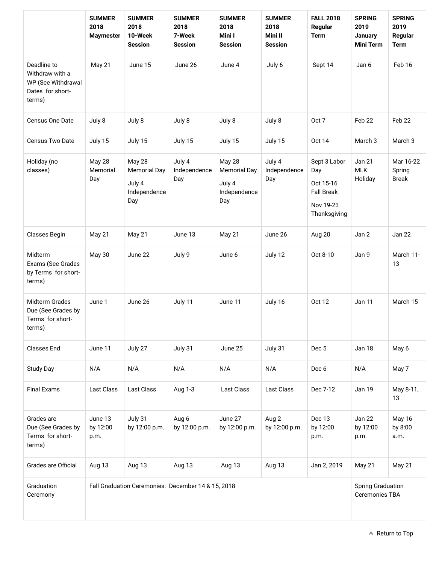|                                                                                    | <b>SUMMER</b><br>2018<br><b>Maymester</b>          | <b>SUMMER</b><br>2018<br>10-Week<br><b>Session</b>             | <b>SUMMER</b><br>2018<br>7-Week<br><b>Session</b> | <b>SUMMER</b><br>2018<br>Mini I<br><b>Session</b>              | <b>SUMMER</b><br>2018<br>Mini II<br><b>Session</b> | <b>FALL 2018</b><br>Regular<br><b>Term</b>                                         | <b>SPRING</b><br>2019<br>January<br><b>Mini Term</b> | <b>SPRING</b><br>2019<br>Regular<br><b>Term</b> |
|------------------------------------------------------------------------------------|----------------------------------------------------|----------------------------------------------------------------|---------------------------------------------------|----------------------------------------------------------------|----------------------------------------------------|------------------------------------------------------------------------------------|------------------------------------------------------|-------------------------------------------------|
| Deadline to<br>Withdraw with a<br>WP (See Withdrawal<br>Dates for short-<br>terms) | May 21                                             | June 15                                                        | June 26                                           | June 4                                                         | July 6                                             | Sept 14                                                                            | Jan 6                                                | Feb 16                                          |
| Census One Date                                                                    | July 8                                             | July 8                                                         | July 8                                            | July 8                                                         | July 8                                             | Oct 7                                                                              | Feb 22                                               | Feb 22                                          |
| Census Two Date                                                                    | July 15                                            | July 15                                                        | July 15                                           | July 15                                                        | July 15                                            | <b>Oct 14</b>                                                                      | March 3                                              | March <sub>3</sub>                              |
| Holiday (no<br>classes)                                                            | May 28<br>Memorial<br>Day                          | May 28<br><b>Memorial Day</b><br>July 4<br>Independence<br>Day | July 4<br>Independence<br>Day                     | May 28<br><b>Memorial Day</b><br>July 4<br>Independence<br>Day | July 4<br>Independence<br>Day                      | Sept 3 Labor<br>Day<br>Oct 15-16<br><b>Fall Break</b><br>Nov 19-23<br>Thanksgiving | <b>Jan 21</b><br><b>MLK</b><br>Holiday               | Mar 16-22<br>Spring<br><b>Break</b>             |
| Classes Begin                                                                      | May 21                                             | May 21                                                         | June 13                                           | May 21                                                         | June 26                                            | Aug 20                                                                             | Jan 2                                                | <b>Jan 22</b>                                   |
| Midterm<br>Exams (See Grades<br>by Terms for short-<br>terms)                      | <b>May 30</b>                                      | June 22                                                        | July 9                                            | June 6                                                         | July 12                                            | Oct 8-10                                                                           | Jan 9                                                | March 11-<br>13                                 |
| Midterm Grades<br>Due (See Grades by<br>Terms for short-<br>terms)                 | June 1                                             | June 26                                                        | July 11                                           | June 11                                                        | July 16                                            | <b>Oct 12</b>                                                                      | Jan 11                                               | March 15                                        |
| <b>Classes End</b>                                                                 | June 11                                            | July 27                                                        | July 31                                           | June 25                                                        | July 31                                            | Dec <sub>5</sub>                                                                   | Jan 18                                               | May 6                                           |
| Study Day                                                                          | N/A                                                | N/A                                                            | N/A                                               | N/A                                                            | N/A                                                | Dec <sub>6</sub>                                                                   | N/A                                                  | May 7                                           |
| <b>Final Exams</b>                                                                 | <b>Last Class</b>                                  | Last Class                                                     | Aug 1-3                                           | Last Class                                                     | Last Class                                         | Dec 7-12                                                                           | <b>Jan 19</b>                                        | May 8-11,<br>13                                 |
| Grades are<br>Due (See Grades by<br>Terms for short-<br>terms)                     | June 13<br>by 12:00<br>p.m.                        | July 31<br>by 12:00 p.m.                                       | Aug 6<br>by 12:00 p.m.                            | June 27<br>by 12:00 p.m.                                       | Aug 2<br>by 12:00 p.m.                             | Dec 13<br>by 12:00<br>p.m.                                                         | Jan 22<br>by 12:00<br>p.m.                           | May 16<br>by 8:00<br>a.m.                       |
| Grades are Official                                                                | Aug 13                                             | Aug 13                                                         | Aug 13                                            | Aug 13                                                         | Aug 13                                             | Jan 2, 2019                                                                        | <b>May 21</b>                                        | May 21                                          |
| Graduation<br>Ceremony                                                             | Fall Graduation Ceremonies: December 14 & 15, 2018 |                                                                |                                                   |                                                                |                                                    |                                                                                    | <b>Spring Graduation</b><br><b>Ceremonies TBA</b>    |                                                 |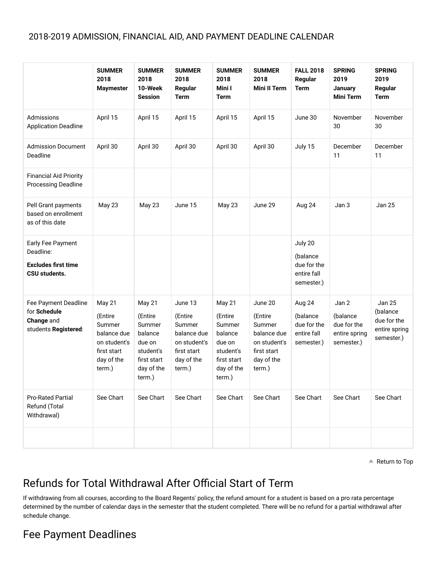## 2018-2019 ADMISSION, FINANCIAL AID, AND PAYMENT DEADLINE CALENDAR

|                                                                               | <b>SUMMER</b><br>2018<br><b>Maymester</b>                                                         | <b>SUMMER</b><br>2018<br>10-Week<br><b>Session</b>                                                   | <b>SUMMER</b><br>2018<br>Regular<br><b>Term</b>                                                    | <b>SUMMER</b><br>2018<br>Mini I<br><b>Term</b>                                                       | <b>SUMMER</b><br>2018<br><b>Mini II Term</b>                                                       | <b>FALL 2018</b><br>Regular<br><b>Term</b>                      | <b>SPRING</b><br>2019<br>January<br><b>Mini Term</b>            | <b>SPRING</b><br>2019<br>Regular<br><b>Term</b>                         |
|-------------------------------------------------------------------------------|---------------------------------------------------------------------------------------------------|------------------------------------------------------------------------------------------------------|----------------------------------------------------------------------------------------------------|------------------------------------------------------------------------------------------------------|----------------------------------------------------------------------------------------------------|-----------------------------------------------------------------|-----------------------------------------------------------------|-------------------------------------------------------------------------|
| Admissions<br><b>Application Deadline</b>                                     | April 15                                                                                          | April 15                                                                                             | April 15                                                                                           | April 15                                                                                             | April 15                                                                                           | June 30                                                         | November<br>30                                                  | November<br>30                                                          |
| <b>Admission Document</b><br>Deadline                                         | April 30                                                                                          | April 30                                                                                             | April 30                                                                                           | April 30                                                                                             | April 30                                                                                           | July 15                                                         | December<br>11                                                  | December<br>11                                                          |
| <b>Financial Aid Priority</b><br>Processing Deadline                          |                                                                                                   |                                                                                                      |                                                                                                    |                                                                                                      |                                                                                                    |                                                                 |                                                                 |                                                                         |
| Pell Grant payments<br>based on enrollment<br>as of this date                 | May 23                                                                                            | <b>May 23</b>                                                                                        | June 15                                                                                            | May 23                                                                                               | June 29                                                                                            | Aug 24                                                          | Jan 3                                                           | <b>Jan 25</b>                                                           |
| Early Fee Payment<br>Deadline:<br><b>Excludes first time</b><br>CSU students. |                                                                                                   |                                                                                                      |                                                                                                    |                                                                                                      |                                                                                                    | July 20<br>(balance<br>due for the<br>entire fall<br>semester.) |                                                                 |                                                                         |
| Fee Payment Deadline<br>for Schedule<br>Change and<br>students Registered:    | May 21<br>(Entire<br>Summer<br>balance due<br>on student's<br>first start<br>day of the<br>term.) | May 21<br>(Entire<br>Summer<br>balance<br>due on<br>student's<br>first start<br>day of the<br>term.) | June 13<br>(Entire<br>Summer<br>balance due<br>on student's<br>first start<br>day of the<br>term.) | May 21<br>(Entire<br>Summer<br>balance<br>due on<br>student's<br>first start<br>day of the<br>term.) | June 20<br>(Entire<br>Summer<br>balance due<br>on student's<br>first start<br>day of the<br>term.) | Aug 24<br>(balance<br>due for the<br>entire fall<br>semester.)  | Jan 2<br>(balance<br>due for the<br>entire spring<br>semester.) | <b>Jan 25</b><br>(balance<br>due for the<br>entire spring<br>semester.) |
| <b>Pro-Rated Partial</b><br>Refund (Total<br>Withdrawal)                      | See Chart                                                                                         | See Chart                                                                                            | See Chart                                                                                          | See Chart                                                                                            | See Chart                                                                                          | See Chart                                                       | See Chart                                                       | See Chart                                                               |
|                                                                               |                                                                                                   |                                                                                                      |                                                                                                    |                                                                                                      |                                                                                                    |                                                                 |                                                                 |                                                                         |

 $\triangle$  Return to Top

## Refunds for Total Withdrawal After Official Start of Term

If withdrawing from all courses, according to the Board Regents' policy, the refund amount for a student is based on a pro rata percentage determined by the number of calendar days in the semester that the student completed. There will be no refund for a partial withdrawal after schedule change.

## Fee Payment Deadlines